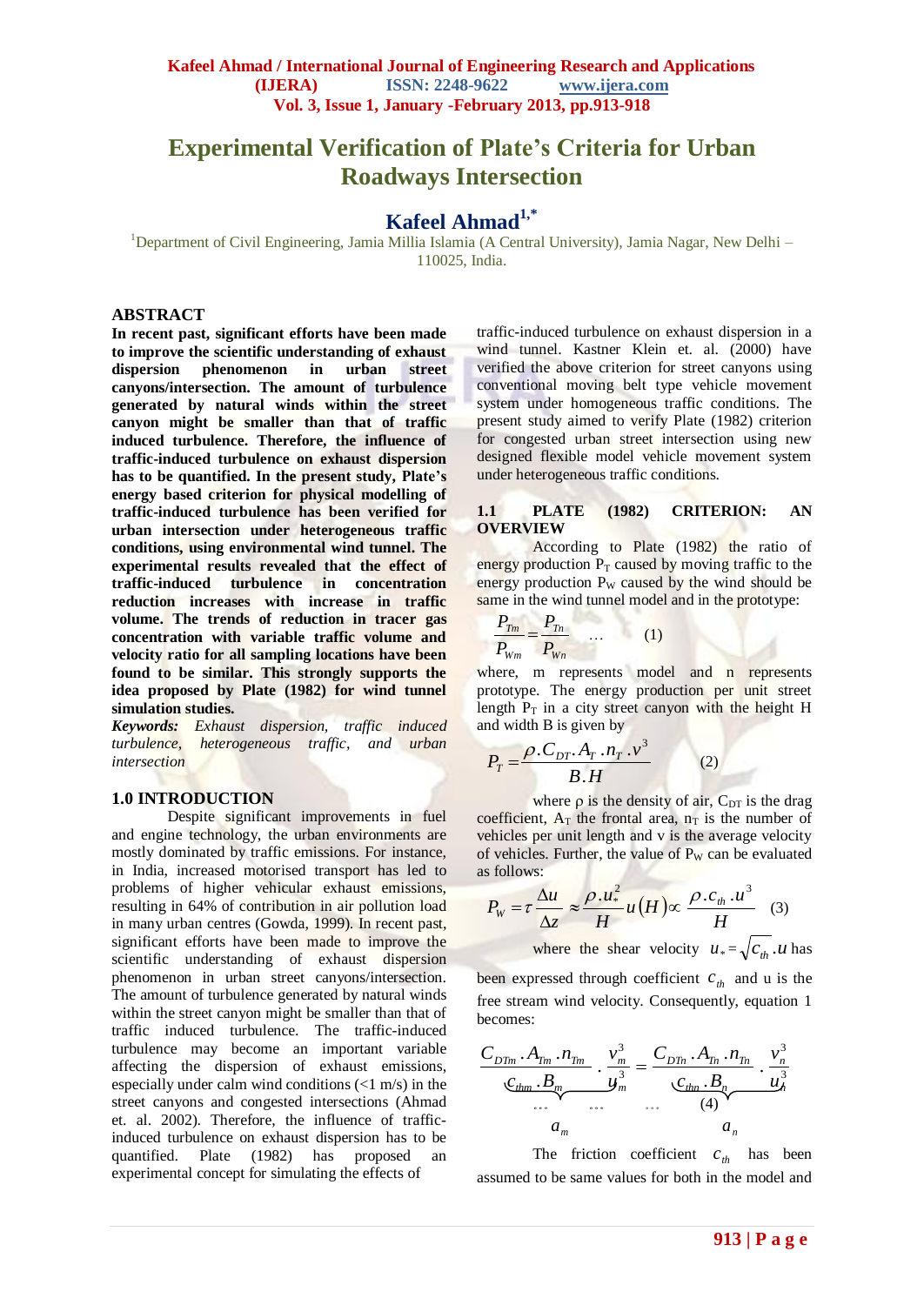# **Experimental Verification of Plate's Criteria for Urban Roadways Intersection**

# **Kafeel Ahmad1,\***

<sup>1</sup>Department of Civil Engineering, Jamia Millia Islamia (A Central University), Jamia Nagar, New Delhi – 110025, India.

#### **ABSTRACT**

**In recent past, significant efforts have been made to improve the scientific understanding of exhaust dispersion phenomenon in urban street canyons/intersection. The amount of turbulence generated by natural winds within the street canyon might be smaller than that of traffic induced turbulence. Therefore, the influence of traffic-induced turbulence on exhaust dispersion has to be quantified. In the present study, Plate's energy based criterion for physical modelling of traffic-induced turbulence has been verified for urban intersection under heterogeneous traffic conditions, using environmental wind tunnel. The experimental results revealed that the effect of traffic-induced turbulence in concentration reduction increases with increase in traffic volume. The trends of reduction in tracer gas concentration with variable traffic volume and velocity ratio for all sampling locations have been found to be similar. This strongly supports the idea proposed by Plate (1982) for wind tunnel simulation studies.** 

*Keywords: Exhaust dispersion, traffic induced turbulence, heterogeneous traffic, and urban intersection* 

#### **1.0 INTRODUCTION**

Despite significant improvements in fuel and engine technology, the urban environments are mostly dominated by traffic emissions. For instance, in India, increased motorised transport has led to problems of higher vehicular exhaust emissions, resulting in 64% of contribution in air pollution load in many urban centres (Gowda, 1999). In recent past, significant efforts have been made to improve the scientific understanding of exhaust dispersion phenomenon in urban street canyons/intersection. The amount of turbulence generated by natural winds within the street canyon might be smaller than that of traffic induced turbulence. The traffic-induced turbulence may become an important variable affecting the dispersion of exhaust emissions, especially under calm wind conditions (<1 m/s) in the street canyons and congested intersections (Ahmad et. al. 2002). Therefore, the influence of trafficinduced turbulence on exhaust dispersion has to be quantified. Plate (1982) has proposed an experimental concept for simulating the effects of

traffic-induced turbulence on exhaust dispersion in a wind tunnel. Kastner Klein et. al. (2000) have verified the above criterion for street canyons using conventional moving belt type vehicle movement system under homogeneous traffic conditions. The present study aimed to verify Plate (1982) criterion for congested urban street intersection using new designed flexible model vehicle movement system under heterogeneous traffic conditions.

#### **1.1 PLATE (1982) CRITERION: AN OVERVIEW**

According to Plate (1982) the ratio of energy production  $P_T$  caused by moving traffic to the energy production  $P_W$  caused by the wind should be same in the wind tunnel model and in the prototype:

$$
\frac{P_{Tm}}{P_{Wm}} = \frac{P_{Tn}}{P_{Wn}} \qquad \qquad (1)
$$

where, m represents model and n represents prototype. The energy production per unit street length  $P_T$  in a city street canyon with the height H and width B is given by

$$
P_T = \frac{\rho C_{DT} A_T . n_T . v^3}{B.H}
$$
 (2)

where  $\rho$  is the density of air,  $C_{DT}$  is the drag coefficient,  $A_T$  the frontal area,  $n_T$  is the number of vehicles per unit length and v is the average velocity of vehicles. Further, the value of  $P_W$  can be evaluated as follows:

$$
P_{w} = \tau \frac{\Delta u}{\Delta z} \approx \frac{\rho.u_{*}^{2}}{H} u(H) \propto \frac{\rho.c_{th}.u^{3}}{H}
$$
 (3)

where the shear velocity  $u_* = \sqrt{c_{th}} \cdot u$  has

been expressed through coefficient  $c_{th}$  and u is the free stream wind velocity. Consequently, equation 1 becomes:

$$
\frac{C_{DTm} \cdot A_{Tm} \cdot n_{Tm}}{C_{thm} \cdot B_m} \cdot \frac{v_m^3}{y_m^3} = \frac{C_{DTn} \cdot A_{Tn} \cdot n_{Tn}}{C_{thm} \cdot B_n} \cdot \frac{v_n^3}{u_n^3}
$$

$$
\dots \qquad \dots \qquad \dots \qquad (4)
$$

$$
a_m \qquad a_n
$$

The friction coefficient  $c_{th}$  has been assumed to be same values for both in the model and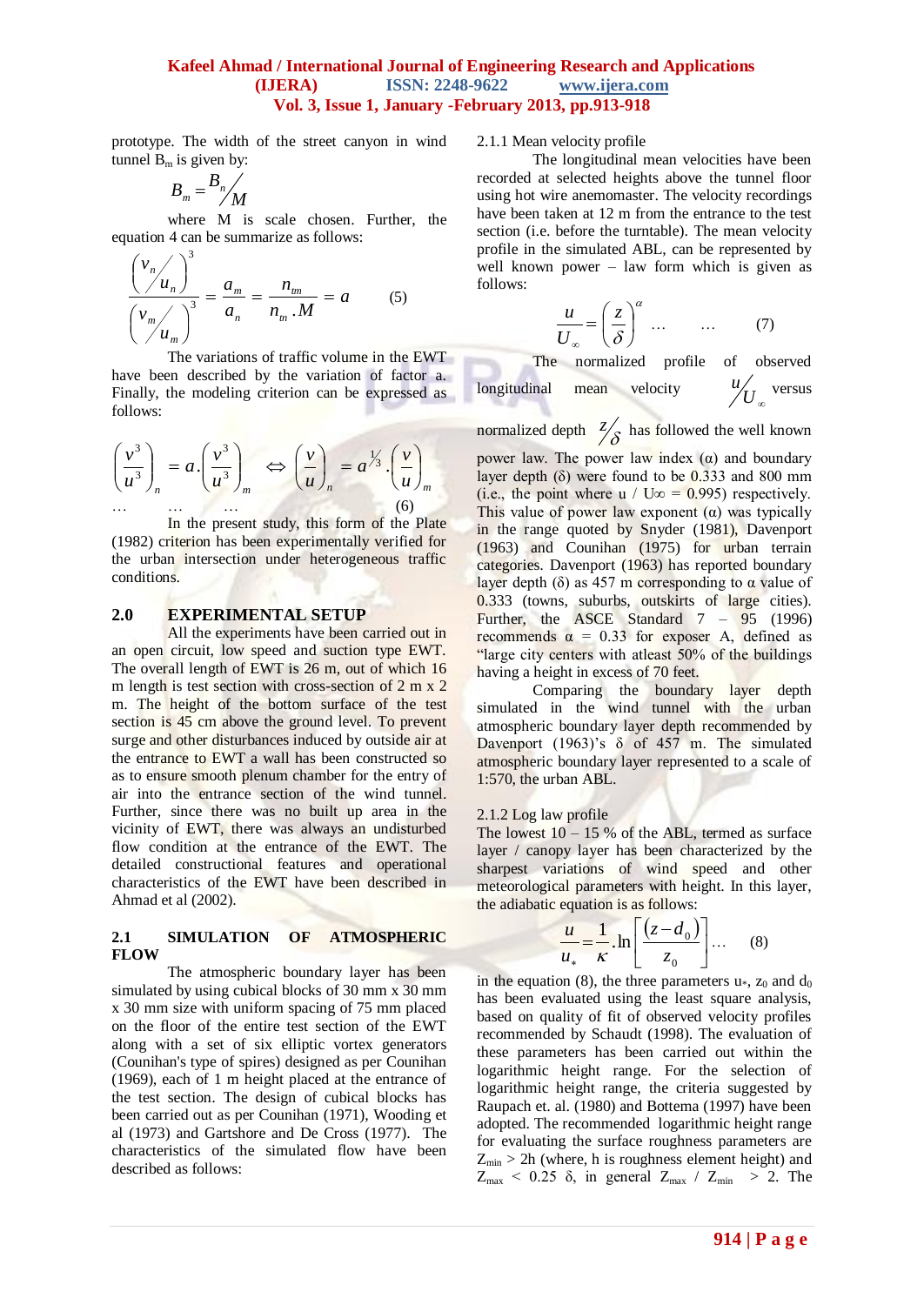prototype. The width of the street canyon in wind tunnel  $B_m$  is given by:

$$
B_{m} = \frac{B_{n}}{M}
$$

where M is scale chosen. Further, the equation 4 can be summarize as follows:

$$
\frac{\left(\frac{v_n}{u_n}\right)^3}{\left(\frac{v_m}{u_m}\right)^3} = \frac{a_m}{a_n} = \frac{n_m}{n_m \cdot M} = a \quad (5)
$$

The variations of traffic volume in the EWT have been described by the variation of factor a. Finally, the modeling criterion can be expressed as follows:

$$
\left(\frac{v^3}{u^3}\right)_n = a \cdot \left(\frac{v^3}{u^3}\right)_m \iff \left(\frac{v}{u}\right)_n = a^{\frac{1}{3}} \cdot \left(\frac{v}{u}\right)_m
$$
\n
$$
\dots \qquad \dots \qquad \dots \qquad \dots \qquad (6)
$$

In the present study, this form of the Plate (1982) criterion has been experimentally verified for the urban intersection under heterogeneous traffic conditions.

#### **2.0 EXPERIMENTAL SETUP**

All the experiments have been carried out in an open circuit, low speed and suction type EWT. The overall length of EWT is 26 m, out of which 16 m length is test section with cross-section of 2 m x 2 m. The height of the bottom surface of the test section is 45 cm above the ground level. To prevent surge and other disturbances induced by outside air at the entrance to EWT a wall has been constructed so as to ensure smooth plenum chamber for the entry of air into the entrance section of the wind tunnel. Further, since there was no built up area in the vicinity of EWT, there was always an undisturbed flow condition at the entrance of the EWT. The detailed constructional features and operational characteristics of the EWT have been described in Ahmad et al (2002).

#### **2.1 SIMULATION OF ATMOSPHERIC FLOW**

The atmospheric boundary layer has been simulated by using cubical blocks of 30 mm x 30 mm x 30 mm size with uniform spacing of 75 mm placed on the floor of the entire test section of the EWT along with a set of six elliptic vortex generators (Counihan's type of spires) designed as per Counihan (1969), each of 1 m height placed at the entrance of the test section. The design of cubical blocks has been carried out as per Counihan (1971), Wooding et al (1973) and Gartshore and De Cross (1977). The characteristics of the simulated flow have been described as follows:

2.1.1 Mean velocity profile

The longitudinal mean velocities have been recorded at selected heights above the tunnel floor using hot wire anemomaster. The velocity recordings have been taken at 12 m from the entrance to the test section (i.e. before the turntable). The mean velocity profile in the simulated ABL, can be represented by well known power – law form which is given as follows:

$$
\frac{u}{U_{\infty}} = \left(\frac{z}{\delta}\right)^{\alpha} \dots \qquad \dots \qquad (7)
$$

The normalized profile of observed longitudinal mean velocity  ${'}U_{_{\infty}}$  $u / \frac{u}{I}$  versus normalized depth  $\frac{z}{\delta}$  has followed the well known

power law. The power law index  $(α)$  and boundary layer depth  $(\delta)$  were found to be 0.333 and 800 mm (i.e., the point where u / U∞ = 0.995) respectively. This value of power law exponent  $(\alpha)$  was typically in the range quoted by Snyder (1981), Davenport (1963) and Counihan (1975) for urban terrain categories. Davenport (1963) has reported boundary layer depth ( $\delta$ ) as 457 m corresponding to  $\alpha$  value of 0.333 (towns, suburbs, outskirts of large cities). Further, the ASCE Standard  $7 - 95$  (1996) recommends  $\alpha = 0.33$  for exposer A, defined as "large city centers with atleast 50% of the buildings having a height in excess of 70 feet.

Comparing the boundary layer depth simulated in the wind tunnel with the urban atmospheric boundary layer depth recommended by Davenport (1963)'s  $\delta$  of 457 m. The simulated atmospheric boundary layer represented to a scale of 1:570, the urban ABL.

#### 2.1.2 Log law profile

The lowest  $10 - 15$  % of the ABL, termed as surface layer / canopy layer has been characterized by the sharpest variations of wind speed and other meteorological parameters with height. In this layer, the adiabatic equation is as follows:

$$
\frac{u}{u_*} = \frac{1}{\kappa} \cdot \ln \left[ \frac{(z - d_0)}{z_0} \right] \dots \quad (8)
$$

in the equation (8), the three parameters  $u_*, z_0$  and  $d_0$ has been evaluated using the least square analysis, based on quality of fit of observed velocity profiles recommended by Schaudt (1998). The evaluation of these parameters has been carried out within the logarithmic height range. For the selection of logarithmic height range, the criteria suggested by Raupach et. al. (1980) and Bottema (1997) have been adopted. The recommended logarithmic height range for evaluating the surface roughness parameters are  $Z_{min}$  > 2h (where, h is roughness element height) and  $Z_{\text{max}}$  < 0.25  $\delta$ , in general  $Z_{\text{max}}$  /  $Z_{\text{min}}$  > 2. The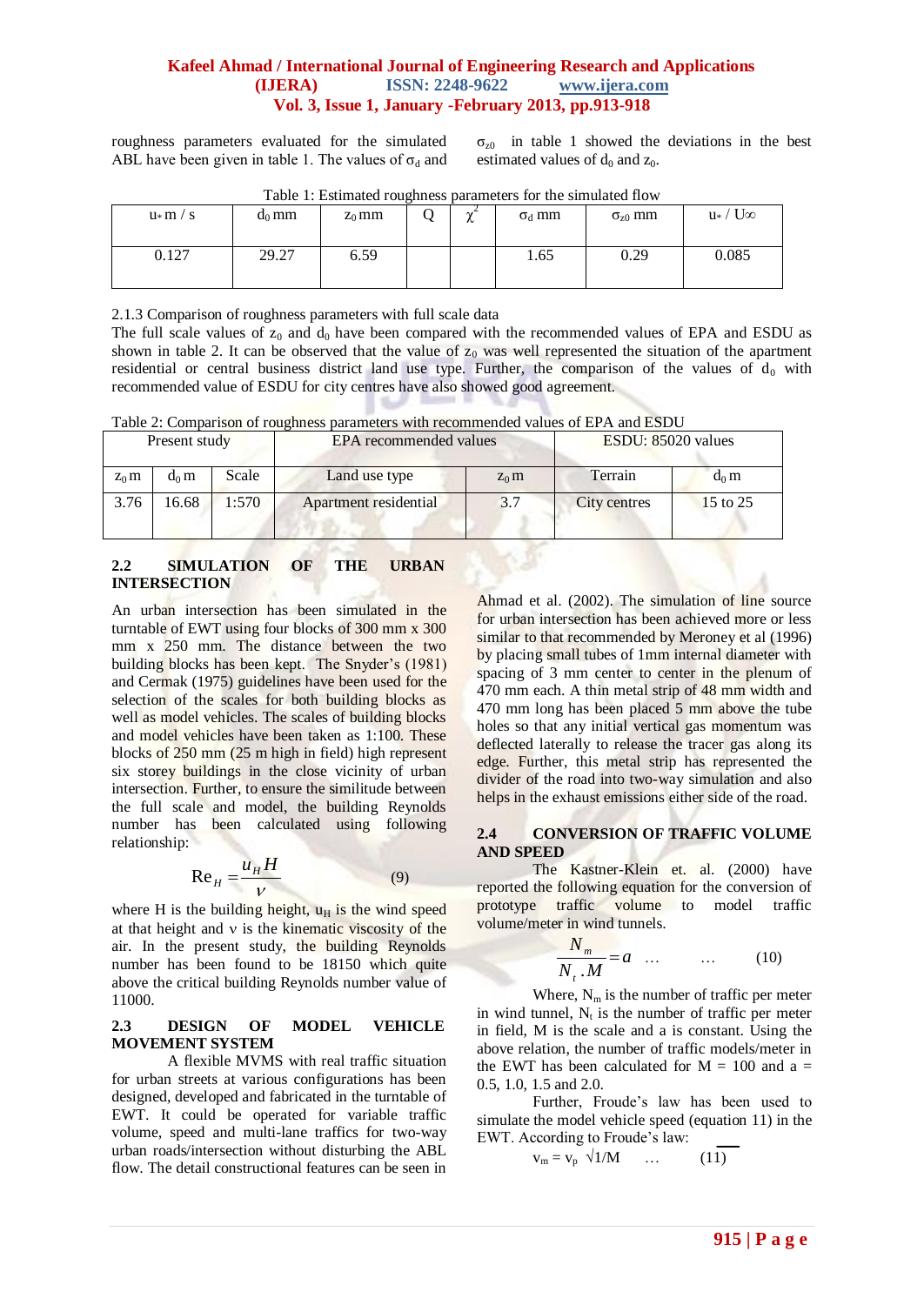roughness parameters evaluated for the simulated ABL have been given in table 1. The values of  $\sigma_d$  and

 $\sigma_{z0}$  in table 1 showed the deviations in the best estimated values of  $d_0$  and  $z_0$ .

| Table 1. Estimated Foughness parameters for the simulated from |          |          |  |               |               |                  |                      |
|----------------------------------------------------------------|----------|----------|--|---------------|---------------|------------------|----------------------|
| $u \ast m / s$                                                 | $d_0$ mm | $Z_0$ mm |  | $\gamma$<br>∼ | $\sigma_d$ mm | $\sigma_{z0}$ mm | $u_*$ / $U_{\infty}$ |
| 0.127                                                          | 29.27    | 6.59     |  |               | 1.65          | 0.29             | 0.085                |

Table 1: Estimated roughness parameters for the simulated flow

2.1.3 Comparison of roughness parameters with full scale data

The full scale values of  $z_0$  and  $d_0$  have been compared with the recommended values of EPA and ESDU as shown in table 2. It can be observed that the value of  $z_0$  was well represented the situation of the apartment residential or central business district land use type. Further, the comparison of the values of  $d_0$  with recommended value of ESDU for city centres have also showed good agreement.

Table 2: Comparison of roughness parameters with recommended values of EPA and ESDU

| Present study |         |       | EPA recommended values | ESDU: 85020 values |              |          |
|---------------|---------|-------|------------------------|--------------------|--------------|----------|
| $Z_0$ m       | $d_0$ m | Scale | Land use type          | $Z_0$ m            | Terrain      | $d_0$ m  |
| 3.76          | 16.68   | 1:570 | Apartment residential  | 3.7                | City centres | 15 to 25 |

## **2.2 SIMULATION OF THE URBAN INTERSECTION**

An urban intersection has been simulated in the turntable of EWT using four blocks of 300 mm x 300 mm x 250 mm. The distance between the two building blocks has been kept. The Snyder's (1981) and Cermak (1975) guidelines have been used for the selection of the scales for both building blocks as well as model vehicles. The scales of building blocks and model vehicles have been taken as 1:100. These blocks of 250 mm (25 m high in field) high represent six storey buildings in the close vicinity of urban intersection. Further, to ensure the similitude between the full scale and model, the building Reynolds number has been calculated using following relationship:

$$
\text{Re}_H = \frac{u_H H}{V} \tag{9}
$$

where H is the building height,  $u_H$  is the wind speed at that height and  $\nu$  is the kinematic viscosity of the air. In the present study, the building Reynolds number has been found to be 18150 which quite above the critical building Reynolds number value of 11000.

## **2.3 DESIGN OF MODEL VEHICLE MOVEMENT SYSTEM**

A flexible MVMS with real traffic situation for urban streets at various configurations has been designed, developed and fabricated in the turntable of EWT. It could be operated for variable traffic volume, speed and multi-lane traffics for two-way urban roads/intersection without disturbing the ABL flow. The detail constructional features can be seen in

Ahmad et al. (2002). The simulation of line source for urban intersection has been achieved more or less similar to that recommended by Meroney et al (1996) by placing small tubes of 1mm internal diameter with spacing of 3 mm center to center in the plenum of 470 mm each. A thin metal strip of 48 mm width and 470 mm long has been placed 5 mm above the tube holes so that any initial vertical gas momentum was deflected laterally to release the tracer gas along its edge. Further, this metal strip has represented the divider of the road into two-way simulation and also helps in the exhaust emissions either side of the road.

## **2.4 CONVERSION OF TRAFFIC VOLUME AND SPEED**

The Kastner-Klein et. al. (2000) have reported the following equation for the conversion of prototype traffic volume to model traffic volume/meter in wind tunnels.

$$
\frac{N_m}{N_t \cdot M} = a \quad \dots \qquad \dots \qquad (10)
$$

Where,  $N_m$  is the number of traffic per meter in wind tunnel,  $N_t$  is the number of traffic per meter in field, M is the scale and a is constant. Using the above relation, the number of traffic models/meter in the EWT has been calculated for  $M = 100$  and a = 0.5, 1.0, 1.5 and 2.0.

Further, Froude's law has been used to simulate the model vehicle speed (equation 11) in the EWT. According to Froude's law:

$$
\mathbf{v}_{\mathbf{m}} = \mathbf{v}_{\mathbf{p}} \quad \sqrt{1/M} \qquad \dots \qquad (11)
$$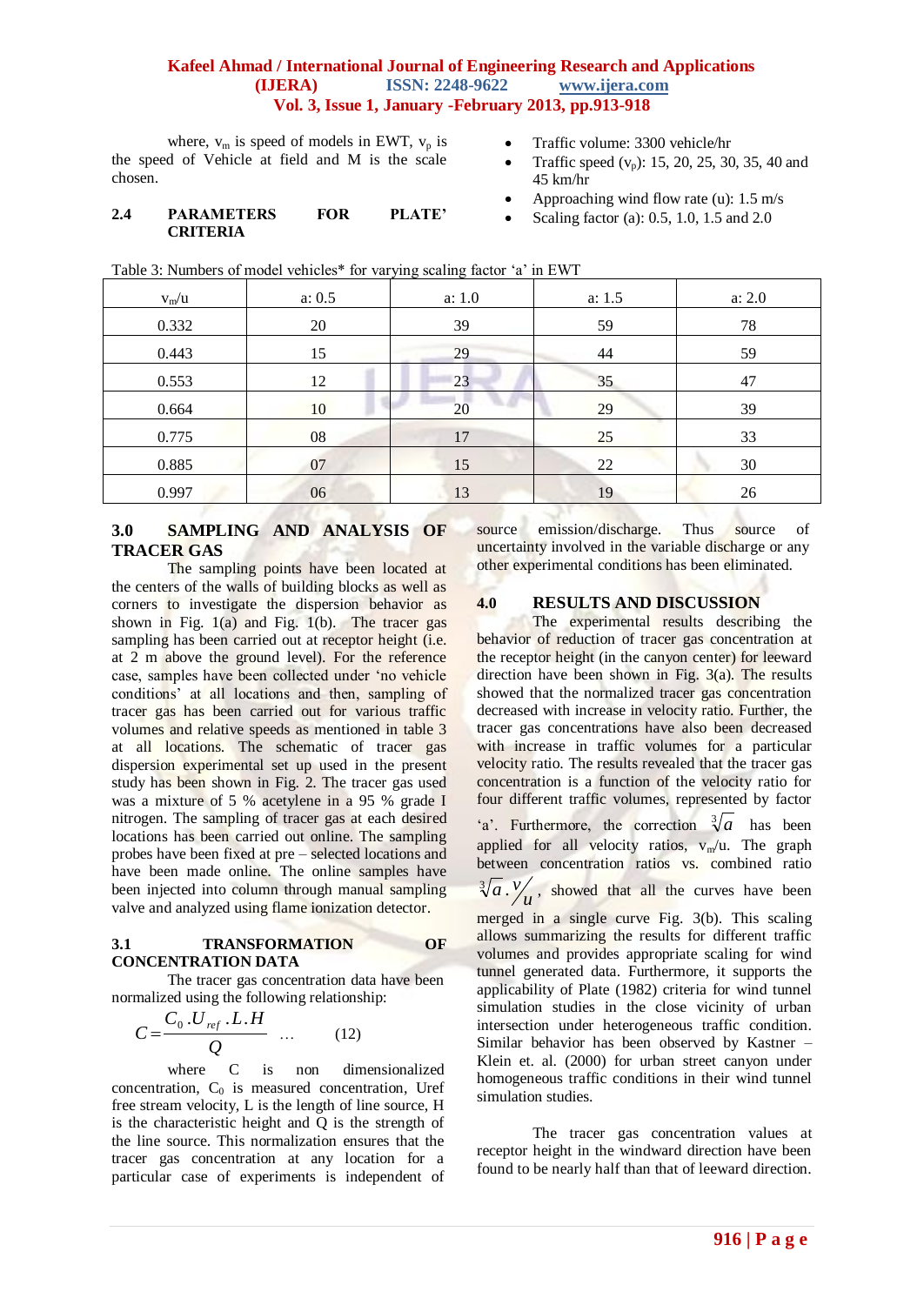where,  $v_m$  is speed of models in EWT,  $v_p$  is the speed of Vehicle at field and M is the scale chosen.

#### **2.4 PARAMETERS FOR PLATE' CRITERIA**

- Traffic volume: 3300 vehicle/hr
- Traffic speed  $(v_n)$ : 15, 20, 25, 30, 35, 40 and 45 km/hr
- Approaching wind flow rate (u): 1.5 m/s
- Scaling factor (a): 0.5, 1.0, 1.5 and 2.0

Table 3: Numbers of model vehicles\* for varying scaling factor 'a' in EWT

| $v_m/u$ | a: 0.5 | a: 1.0 | a: 1.5 | a: 2.0 |
|---------|--------|--------|--------|--------|
| 0.332   | 20     | 39     | 59     | 78     |
| 0.443   | 15     | 29     | 44     | 59     |
| 0.553   | 12     | 23     | 35     | 47     |
| 0.664   | 10     | 20     | 29     | 39     |
| 0.775   | 08     | 17     | 25     | 33     |
| 0.885   | 07     | 15     | 22     | 30     |
| 0.997   | 06     | 13     | 19     | 26     |

## **3.0 SAMPLING AND ANALYSIS OF TRACER GAS**

The sampling points have been located at the centers of the walls of building blocks as well as corners to investigate the dispersion behavior as shown in Fig.  $1(a)$  and Fig.  $1(b)$ . The tracer gas sampling has been carried out at receptor height (i.e. at 2 m above the ground level). For the reference case, samples have been collected under 'no vehicle conditions' at all locations and then, sampling of tracer gas has been carried out for various traffic volumes and relative speeds as mentioned in table 3 at all locations. The schematic of tracer gas dispersion experimental set up used in the present study has been shown in Fig. 2. The tracer gas used was a mixture of 5 % acetylene in a 95 % grade I nitrogen. The sampling of tracer gas at each desired locations has been carried out online. The sampling probes have been fixed at pre – selected locations and have been made online. The online samples have been injected into column through manual sampling valve and analyzed using flame ionization detector.

#### **3.1 TRANSFORMATION OF CONCENTRATION DATA**

The tracer gas concentration data have been normalized using the following relationship:

$$
C = \frac{C_0 \cdot U_{ref} \cdot L \cdot H}{Q} \quad \dots \tag{12}
$$

where C is non dimensionalized concentration,  $C_0$  is measured concentration, Uref free stream velocity, L is the length of line source, H is the characteristic height and Q is the strength of the line source. This normalization ensures that the tracer gas concentration at any location for a particular case of experiments is independent of

source emission/discharge. Thus source of uncertainty involved in the variable discharge or any other experimental conditions has been eliminated.

## **4.0 RESULTS AND DISCUSSION**

The experimental results describing the behavior of reduction of tracer gas concentration at the receptor height (in the canyon center) for leeward direction have been shown in Fig. 3(a). The results showed that the normalized tracer gas concentration decreased with increase in velocity ratio. Further, the tracer gas concentrations have also been decreased with increase in traffic volumes for a particular velocity ratio. The results revealed that the tracer gas concentration is a function of the velocity ratio for four different traffic volumes, represented by factor 'a'. Furthermore, the correction  $\sqrt[3]{a}$  has been applied for all velocity ratios,  $v_m/u$ . The graph between concentration ratios vs. combined ratio  $\sqrt[3]{a} \cdot \frac{v}{u}$ , showed that all the curves have been merged in a single curve Fig. 3(b). This scaling

allows summarizing the results for different traffic volumes and provides appropriate scaling for wind tunnel generated data. Furthermore, it supports the applicability of Plate (1982) criteria for wind tunnel simulation studies in the close vicinity of urban intersection under heterogeneous traffic condition. Similar behavior has been observed by Kastner – Klein et. al. (2000) for urban street canyon under homogeneous traffic conditions in their wind tunnel simulation studies.

The tracer gas concentration values at receptor height in the windward direction have been found to be nearly half than that of leeward direction.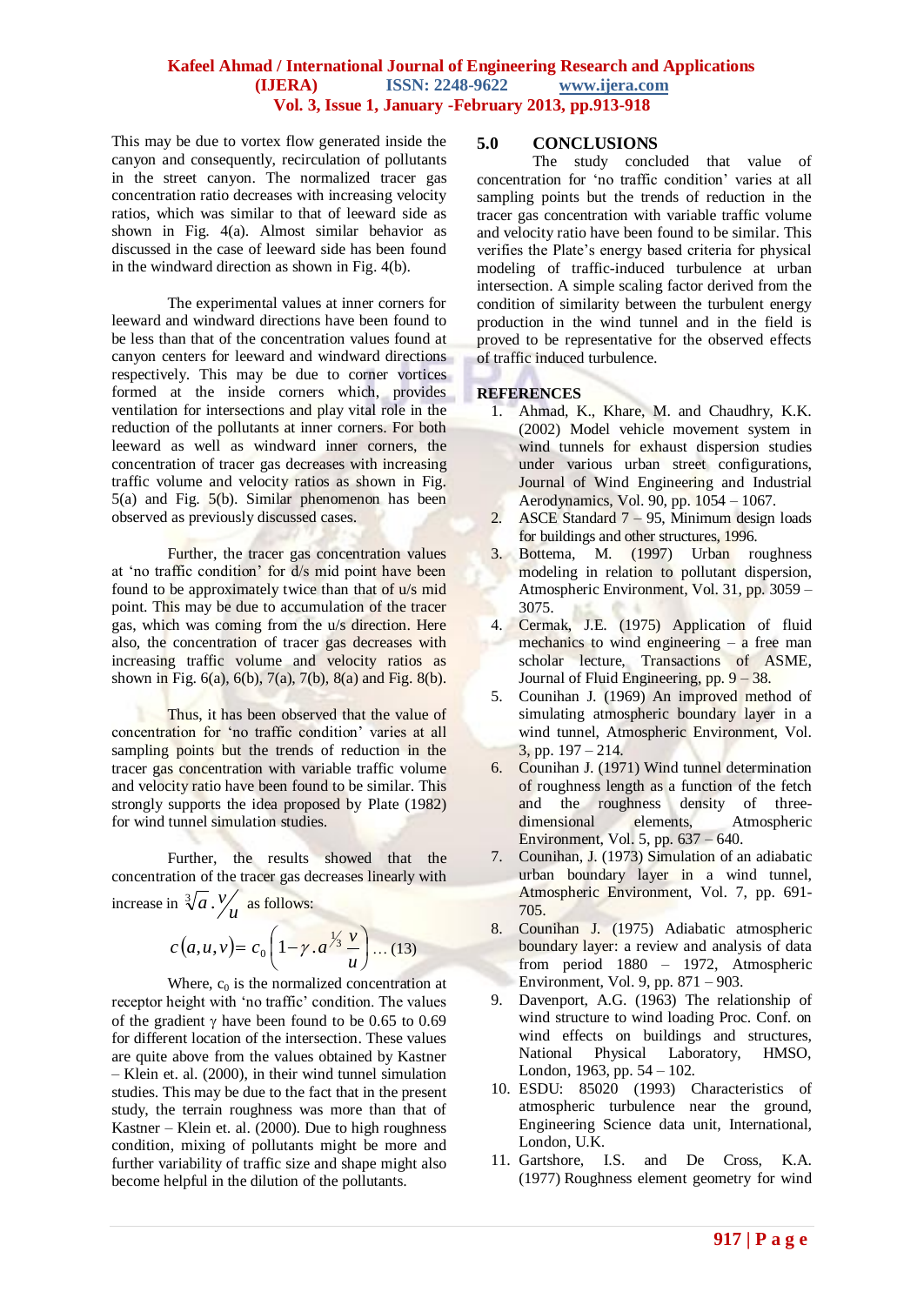This may be due to vortex flow generated inside the canyon and consequently, recirculation of pollutants in the street canyon. The normalized tracer gas concentration ratio decreases with increasing velocity ratios, which was similar to that of leeward side as shown in Fig. 4(a). Almost similar behavior as discussed in the case of leeward side has been found in the windward direction as shown in Fig. 4(b).

The experimental values at inner corners for leeward and windward directions have been found to be less than that of the concentration values found at canyon centers for leeward and windward directions respectively. This may be due to corner vortices formed at the inside corners which, provides ventilation for intersections and play vital role in the reduction of the pollutants at inner corners. For both leeward as well as windward inner corners, the concentration of tracer gas decreases with increasing traffic volume and velocity ratios as shown in Fig. 5(a) and Fig. 5(b). Similar phenomenon has been observed as previously discussed cases.

Further, the tracer gas concentration values at 'no traffic condition' for d/s mid point have been found to be approximately twice than that of u/s mid point. This may be due to accumulation of the tracer gas, which was coming from the u/s direction. Here also, the concentration of tracer gas decreases with increasing traffic volume and velocity ratios as shown in Fig.  $6(a)$ ,  $6(b)$ ,  $7(a)$ ,  $7(b)$ ,  $8(a)$  and Fig.  $8(b)$ .

Thus, it has been observed that the value of concentration for 'no traffic condition' varies at all sampling points but the trends of reduction in the tracer gas concentration with variable traffic volume and velocity ratio have been found to be similar. This strongly supports the idea proposed by Plate (1982) for wind tunnel simulation studies.

Further, the results showed that the concentration of the tracer gas decreases linearly with

increase in  $\sqrt[3]{a} \cdot \frac{v}{u}$  as follows:

$$
c(a, u, v) = c_0 \left( 1 - \gamma \cdot a^{\frac{1}{3}} \frac{v}{u} \right) \dots (13)
$$

Where,  $c_0$  is the normalized concentration at receptor height with 'no traffic' condition. The values of the gradient  $\gamma$  have been found to be 0.65 to 0.69 for different location of the intersection. These values are quite above from the values obtained by Kastner – Klein et. al. (2000), in their wind tunnel simulation studies. This may be due to the fact that in the present study, the terrain roughness was more than that of Kastner – Klein et. al. (2000). Due to high roughness condition, mixing of pollutants might be more and further variability of traffic size and shape might also become helpful in the dilution of the pollutants.

## **5.0 CONCLUSIONS**

The study concluded that value of concentration for 'no traffic condition' varies at all sampling points but the trends of reduction in the tracer gas concentration with variable traffic volume and velocity ratio have been found to be similar. This verifies the Plate's energy based criteria for physical modeling of traffic-induced turbulence at urban intersection. A simple scaling factor derived from the condition of similarity between the turbulent energy production in the wind tunnel and in the field is proved to be representative for the observed effects of traffic induced turbulence.

#### **REFERENCES**

- 1. Ahmad, K., Khare, M. and Chaudhry, K.K. (2002) Model vehicle movement system in wind tunnels for exhaust dispersion studies under various urban street configurations, Journal of Wind Engineering and Industrial Aerodynamics, Vol. 90, pp. 1054 – 1067.
- 2. ASCE Standard 7 95, Minimum design loads for buildings and other structures, 1996.
- 3. Bottema, M. (1997) Urban roughness modeling in relation to pollutant dispersion, Atmospheric Environment, Vol. 31, pp. 3059 – 3075.
- 4. Cermak, J.E. (1975) Application of fluid mechanics to wind engineering  $-$  a free man scholar lecture, Transactions of ASME, Journal of Fluid Engineering, pp. 9 – 38.
- 5. Counihan J. (1969) An improved method of simulating atmospheric boundary layer in a wind tunnel, Atmospheric Environment, Vol. 3, pp. 197 – 214.
- 6. Counihan J. (1971) Wind tunnel determination of roughness length as a function of the fetch and the roughness density of threedimensional elements, Atmospheric Environment, Vol. 5, pp. 637 – 640.
- 7. Counihan, J. (1973) Simulation of an adiabatic urban boundary layer in a wind tunnel, Atmospheric Environment, Vol. 7, pp. 691- 705.
- 8. Counihan J. (1975) Adiabatic atmospheric boundary layer: a review and analysis of data from period 1880 – 1972, Atmospheric Environment, Vol. 9, pp. 871 – 903.
- 9. Davenport, A.G. (1963) The relationship of wind structure to wind loading Proc. Conf. on wind effects on buildings and structures, National Physical Laboratory, HMSO, London, 1963, pp. 54 – 102.
- 10. ESDU: 85020 (1993) Characteristics of atmospheric turbulence near the ground, Engineering Science data unit, International, London, U.K.
- 11. Gartshore, I.S. and De Cross, K.A. (1977) Roughness element geometry for wind